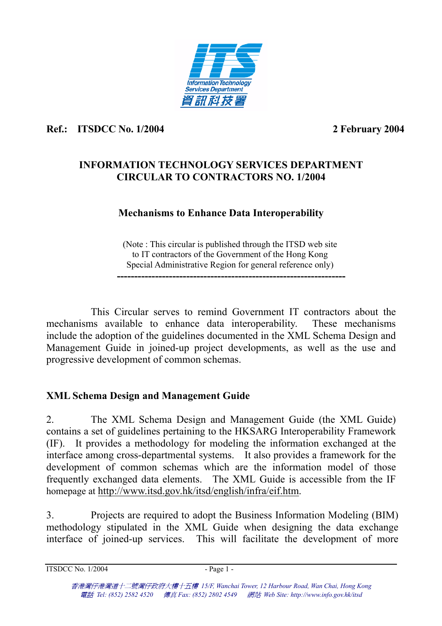

### **Ref.: ITSDCC No. 1/2004**

2 February 2004

## **INFORMATION TECHNOLOGY SERVICES DEPARTMENT CIRCULAR TO CONTRACTORS NO. 1/2004**

## **Mechanisms to Enhance Data Interoperability**

(Note : This circular is published through the ITSD web site to IT contractors of the Government of the Hong Kong Special Administrative Region for general reference only) **------------------------------------------------------------------** 

 This Circular serves to remind Government IT contractors about th e mechanisms available to enhance data interoperability. include the adoption of the guidelines documented in the XML Schema Design an d Management Guide in joined-up project developments, as well as the use an d progressive development of common schemas. These mechanisms

## **XML Schema Design and Management Guide**

2. The XML Schema Design and Management Guide (the XML Guide) contains a set of guidelines pertaining to the HKSARG Interoperability Framework (IF). It provides a methodology for modeling the information exchanged at the interface among cross-departmental systems. It also provides a framework for the development of common schemas which are the information model of those frequently exchanged data elements. The XML Guide is accessible from the IF homepage at http://www.itsd.gov.hk/itsd/english/infra/eif.htm.

3. Projects are required to adopt the Business Information Modeling (BIM) methodology stipulated in the XML Guide when designing the data exchange interface of joined-up services. This will facilitate the development of more

 $ITSDCC No. 1/2004$   $-Page1$